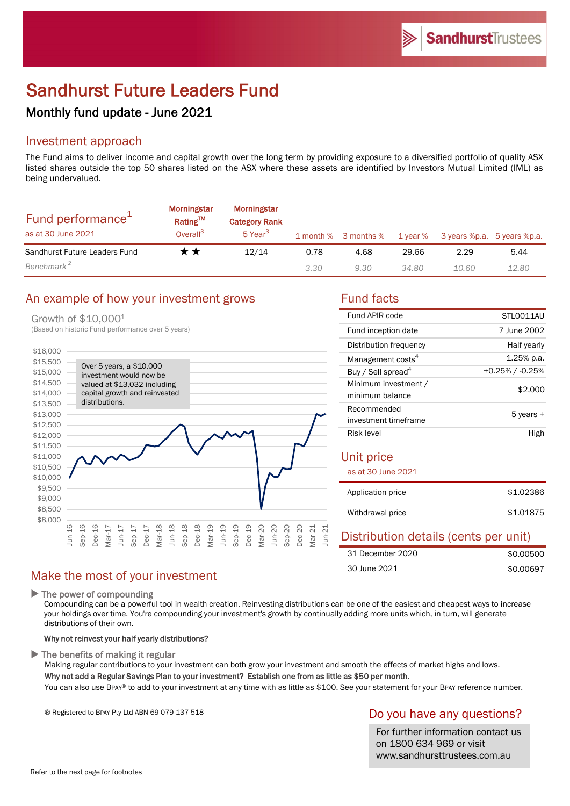# Sandhurst Future Leaders Fund

## Monthly fund update - June 2021

## Investment approach

The Fund aims to deliver income and capital growth over the long term by providing exposure to a diversified portfolio of quality ASX listed shares outside the top 50 shares listed on the ASX where these assets are identified by Investors Mutual Limited (IML) as being undervalued.

| Fund performance <sup>1</sup><br>as at 30 June 2021 | <b>Morningstar</b><br>Rating™<br>Overall <sup>3</sup> | Morningstar<br><b>Category Rank</b><br>5 Year <sup>3</sup> |      | 1 month % 3 months % |       | 1 year % 3 years %p.a. 5 years %p.a. |       |
|-----------------------------------------------------|-------------------------------------------------------|------------------------------------------------------------|------|----------------------|-------|--------------------------------------|-------|
| Sandhurst Future Leaders Fund                       | r *                                                   | 12/14                                                      | 0.78 | 4.68                 | 29.66 | 2.29                                 | 5.44  |
| Benchmark <sup>2</sup>                              |                                                       |                                                            | 3.30 | 9.30                 | 34.80 | 10.60                                | 12.80 |

## An example of how your investment grows Fund facts

#### Growth of \$10,0001



30 June 2021

| Fund APIR code                          | STI 0011AU      |  |  |  |
|-----------------------------------------|-----------------|--|--|--|
| Fund inception date                     | 7 June 2002     |  |  |  |
| Distribution frequency                  | Half yearly     |  |  |  |
| Management costs <sup>4</sup>           | 1.25% p.a.      |  |  |  |
| Buy / Sell spread <sup>4</sup>          | +0.25% / -0.25% |  |  |  |
| Minimum investment /<br>minimum balance | \$2,000         |  |  |  |
| Recommended<br>investment timeframe     | 5 years +       |  |  |  |
| Risk level                              | High            |  |  |  |
| Unit price<br>as at 30 June 2021        |                 |  |  |  |
| Application price                       | \$1.02386       |  |  |  |
| Withdrawal price                        | \$1.01875       |  |  |  |
| Distribution details (cents per unit)   |                 |  |  |  |
| 31 December 2020                        | \$0.00500       |  |  |  |

## Make the most of your investment

 $\blacktriangleright$  The power of compounding

Compounding can be a powerful tool in wealth creation. Reinvesting distributions can be one of the easiest and cheapest ways to increase your holdings over time. You're compounding your investment's growth by continually adding more units which, in turn, will generate distributions of their own.

### Why not reinvest your half yearly distributions?

 $\blacktriangleright$  The benefits of making it regular

Making regular contributions to your investment can both grow your investment and smooth the effects of market highs and lows. Why not add a Regular Savings Plan to your investment? Establish one from as little as \$50 per month.

You can also use BPAY® to add to your investment at any time with as little as \$100. See your statement for your BPAY reference number.

® Registered to BPAY Pty Ltd ABN 69 079 137 518

## Do you have any questions?

\$0.00697

For further information contact us on 1800 634 969 or visit www.sandhursttrustees.com.au